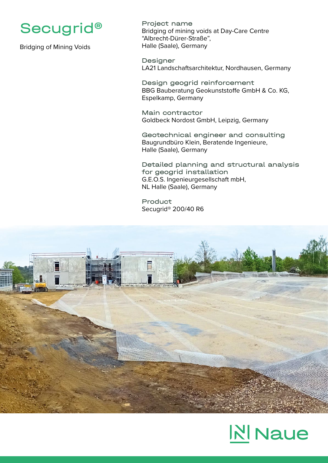

Bridging of Mining Voids

Project name Bridging of mining voids at Day-Care Centre "Albrecht-Dürer-Straße", Halle (Saale), Germany

Designer LA21 Landschaftsarchitektur, Nordhausen, Germany

Design geogrid reinforcement BBG Bauberatung Geokunststoffe GmbH & Co. KG, Espelkamp, Germany

Main contractor Goldbeck Nordost GmbH, Leipzig, Germany

Geotechnical engineer and consulting Baugrundbüro Klein, Beratende Ingenieure, Halle (Saale), Germany

Detailed planning and structural analysis for geogrid installation G.E.O.S. Ingenieurgesellschaft mbH, NL Halle (Saale), Germany

Product Secugrid® 200/40 R6



## **NINaue**